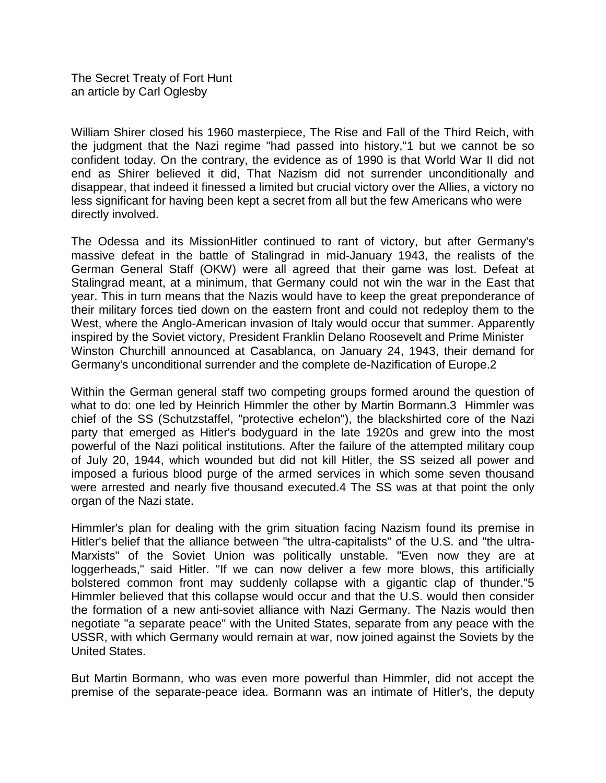The Secret Treaty of Fort Hunt an article by Carl Oglesby

William Shirer closed his 1960 masterpiece, The Rise and Fall of the Third Reich, with the judgment that the Nazi regime "had passed into history,"1 but we cannot be so confident today. On the contrary, the evidence as of 1990 is that World War II did not end as Shirer believed it did, That Nazism did not surrender unconditionally and disappear, that indeed it finessed a limited but crucial victory over the Allies, a victory no less significant for having been kept a secret from all but the few Americans who were directly involved.

The Odessa and its MissionHitler continued to rant of victory, but after Germany's massive defeat in the battle of Stalingrad in mid-January 1943, the realists of the German General Staff (OKW) were all agreed that their game was lost. Defeat at Stalingrad meant, at a minimum, that Germany could not win the war in the East that year. This in turn means that the Nazis would have to keep the great preponderance of their military forces tied down on the eastern front and could not redeploy them to the West, where the Anglo-American invasion of Italy would occur that summer. Apparently inspired by the Soviet victory, President Franklin Delano Roosevelt and Prime Minister Winston Churchill announced at Casablanca, on January 24, 1943, their demand for Germany's unconditional surrender and the complete de-Nazification of Europe.2

Within the German general staff two competing groups formed around the question of what to do: one led by Heinrich Himmler the other by Martin Bormann.3 Himmler was chief of the SS (Schutzstaffel, "protective echelon"), the blackshirted core of the Nazi party that emerged as Hitler's bodyguard in the late 1920s and grew into the most powerful of the Nazi political institutions. After the failure of the attempted military coup of July 20, 1944, which wounded but did not kill Hitler, the SS seized all power and imposed a furious blood purge of the armed services in which some seven thousand were arrested and nearly five thousand executed.4 The SS was at that point the only organ of the Nazi state.

Himmler's plan for dealing with the grim situation facing Nazism found its premise in Hitler's belief that the alliance between "the ultra-capitalists" of the U.S. and "the ultra-Marxists" of the Soviet Union was politically unstable. "Even now they are at loggerheads," said Hitler. "If we can now deliver a few more blows, this artificially bolstered common front may suddenly collapse with a gigantic clap of thunder."5 Himmler believed that this collapse would occur and that the U.S. would then consider the formation of a new anti-soviet alliance with Nazi Germany. The Nazis would then negotiate "a separate peace" with the United States, separate from any peace with the USSR, with which Germany would remain at war, now joined against the Soviets by the United States.

But Martin Bormann, who was even more powerful than Himmler, did not accept the premise of the separate-peace idea. Bormann was an intimate of Hitler's, the deputy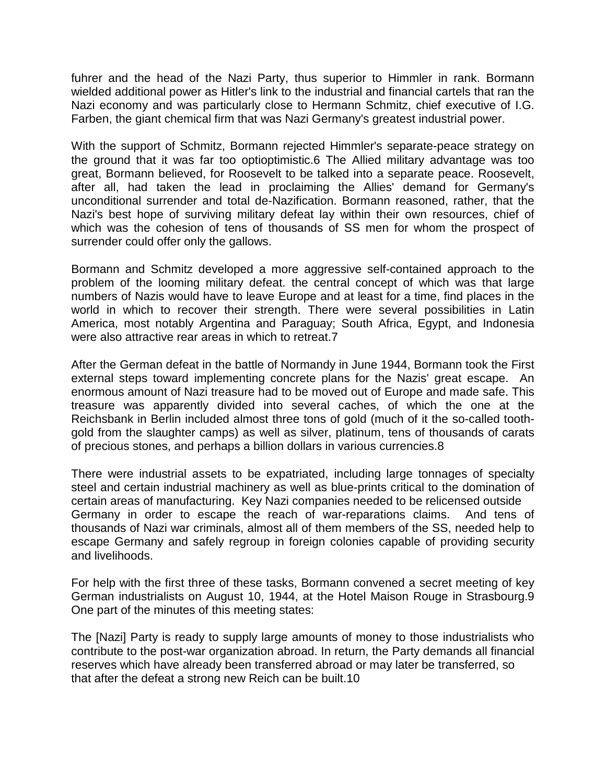fuhrer and the head of the Nazi Party, thus superior to Himmler in rank. Bormann wielded additional power as Hitler's link to the industrial and financial cartels that ran the Nazi economy and was particularly close to Hermann Schmitz, chief executive of I.G. Farben, the giant chemical firm that was Nazi Germany's greatest industrial power.

With the support of Schmitz, Bormann rejected Himmler's separate-peace strategy on the ground that it was far too optioptimistic.6 The Allied military advantage was too great, Bormann believed, for Roosevelt to be talked into a separate peace. Roosevelt, after all, had taken the lead in proclaiming the Allies' demand for Germany's unconditional surrender and total de-Nazification. Bormann reasoned, rather, that the Nazi's best hope of surviving military defeat lay within their own resources, chief of which was the cohesion of tens of thousands of SS men for whom the prospect of surrender could offer only the gallows.

Bormann and Schmitz developed a more aggressive self-contained approach to the problem of the looming military defeat. the central concept of which was that large numbers of Nazis would have to leave Europe and at least for a time, find places in the world in which to recover their strength. There were several possibilities in Latin America, most notably Argentina and Paraguay; South Africa, Egypt, and Indonesia were also attractive rear areas in which to retreat.7

After the German defeat in the battle of Normandy in June 1944, Bormann took the First external steps toward implementing concrete plans for the Nazis' great escape. An enormous amount of Nazi treasure had to be moved out of Europe and made safe. This treasure was apparently divided into several caches, of which the one at the Reichsbank in Berlin included almost three tons of gold (much of it the so-called toothgold from the slaughter camps) as well as silver, platinum, tens of thousands of carats of precious stones, and perhaps a billion dollars in various currencies.8

There were industrial assets to be expatriated, including large tonnages of specialty steel and certain industrial machinery as well as blue-prints critical to the domination of certain areas of manufacturing. Key Nazi companies needed to be relicensed outside Germany in order to escape the reach of war-reparations claims. And tens of thousands of Nazi war criminals, almost all of them members of the SS, needed help to escape Germany and safely regroup in foreign colonies capable of providing security and livelihoods.

For help with the first three of these tasks, Bormann convened a secret meeting of key German industrialists on August 10, 1944, at the Hotel Maison Rouge in Strasbourg.9 One part of the minutes of this meeting states:

The [Nazi] Party is ready to supply large amounts of money to those industrialists who contribute to the post-war organization abroad. In return, the Party demands all financial reserves which have already been transferred abroad or may later be transferred, so that after the defeat a strong new Reich can be built.10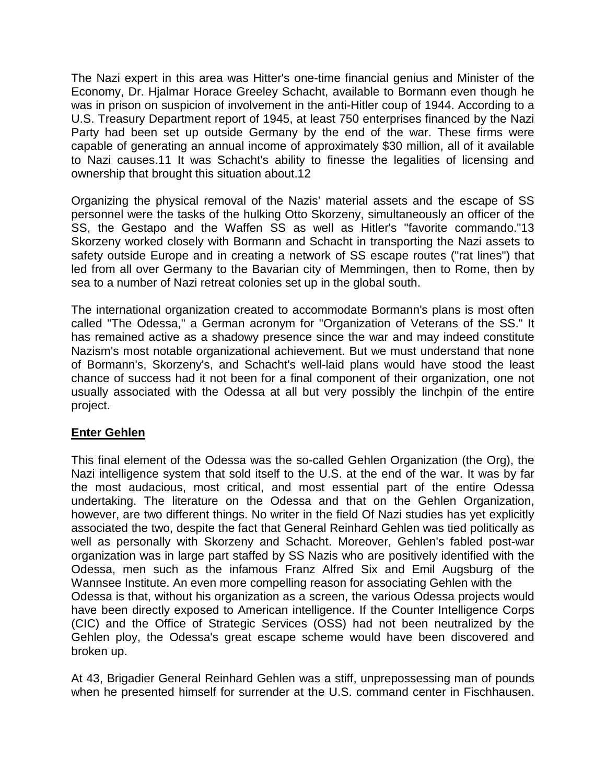The Nazi expert in this area was Hitter's one-time financial genius and Minister of the Economy, Dr. Hjalmar Horace Greeley Schacht, available to Bormann even though he was in prison on suspicion of involvement in the anti-Hitler coup of 1944. According to a U.S. Treasury Department report of 1945, at least 750 enterprises financed by the Nazi Party had been set up outside Germany by the end of the war. These firms were capable of generating an annual income of approximately \$30 million, all of it available to Nazi causes.11 It was Schacht's ability to finesse the legalities of licensing and ownership that brought this situation about.12

Organizing the physical removal of the Nazis' material assets and the escape of SS personnel were the tasks of the hulking Otto Skorzeny, simultaneously an officer of the SS, the Gestapo and the Waffen SS as well as Hitler's "favorite commando."13 Skorzeny worked closely with Bormann and Schacht in transporting the Nazi assets to safety outside Europe and in creating a network of SS escape routes ("rat lines") that led from all over Germany to the Bavarian city of Memmingen, then to Rome, then by sea to a number of Nazi retreat colonies set up in the global south.

The international organization created to accommodate Bormann's plans is most often called "The Odessa," a German acronym for "Organization of Veterans of the SS." It has remained active as a shadowy presence since the war and may indeed constitute Nazism's most notable organizational achievement. But we must understand that none of Bormann's, Skorzeny's, and Schacht's well-laid plans would have stood the least chance of success had it not been for a final component of their organization, one not usually associated with the Odessa at all but very possibly the linchpin of the entire project.

# **Enter Gehlen**

This final element of the Odessa was the so-called Gehlen Organization (the Org), the Nazi intelligence system that sold itself to the U.S. at the end of the war. It was by far the most audacious, most critical, and most essential part of the entire Odessa undertaking. The literature on the Odessa and that on the Gehlen Organization, however, are two different things. No writer in the field Of Nazi studies has yet explicitly associated the two, despite the fact that General Reinhard Gehlen was tied politically as well as personally with Skorzeny and Schacht. Moreover, Gehlen's fabled post-war organization was in large part staffed by SS Nazis who are positively identified with the Odessa, men such as the infamous Franz Alfred Six and Emil Augsburg of the Wannsee Institute. An even more compelling reason for associating Gehlen with the Odessa is that, without his organization as a screen, the various Odessa projects would have been directly exposed to American intelligence. If the Counter Intelligence Corps (CIC) and the Office of Strategic Services (OSS) had not been neutralized by the Gehlen ploy, the Odessa's great escape scheme would have been discovered and broken up.

At 43, Brigadier General Reinhard Gehlen was a stiff, unprepossessing man of pounds when he presented himself for surrender at the U.S. command center in Fischhausen.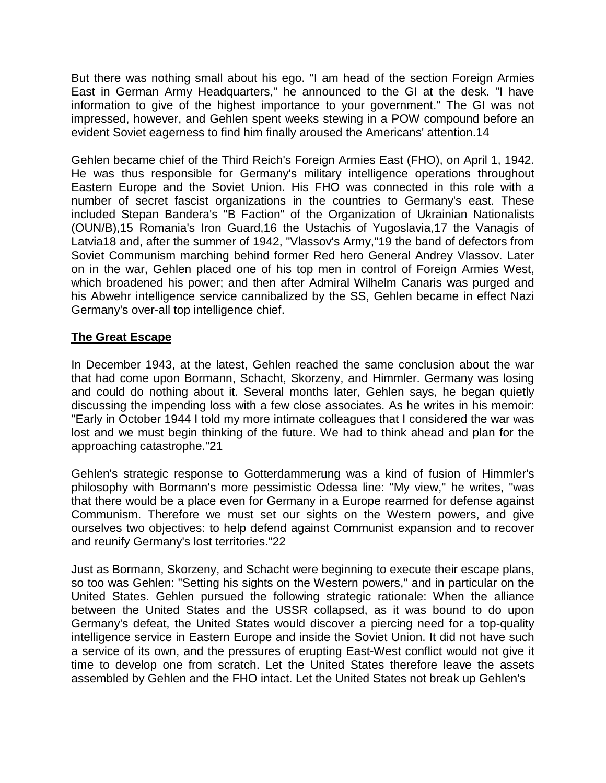But there was nothing small about his ego. "I am head of the section Foreign Armies East in German Army Headquarters," he announced to the GI at the desk. "I have information to give of the highest importance to your government." The GI was not impressed, however, and Gehlen spent weeks stewing in a POW compound before an evident Soviet eagerness to find him finally aroused the Americans' attention.14

Gehlen became chief of the Third Reich's Foreign Armies East (FHO), on April 1, 1942. He was thus responsible for Germany's military intelligence operations throughout Eastern Europe and the Soviet Union. His FHO was connected in this role with a number of secret fascist organizations in the countries to Germany's east. These included Stepan Bandera's "B Faction" of the Organization of Ukrainian Nationalists (OUN/B),15 Romania's Iron Guard,16 the Ustachis of Yugoslavia,17 the Vanagis of Latvia18 and, after the summer of 1942, "Vlassov's Army,"19 the band of defectors from Soviet Communism marching behind former Red hero General Andrey Vlassov. Later on in the war, Gehlen placed one of his top men in control of Foreign Armies West, which broadened his power; and then after Admiral Wilhelm Canaris was purged and his Abwehr intelligence service cannibalized by the SS, Gehlen became in effect Nazi Germany's over-all top intelligence chief.

## **The Great Escape**

In December 1943, at the latest, Gehlen reached the same conclusion about the war that had come upon Bormann, Schacht, Skorzeny, and Himmler. Germany was losing and could do nothing about it. Several months later, Gehlen says, he began quietly discussing the impending loss with a few close associates. As he writes in his memoir: "Early in October 1944 I told my more intimate colleagues that I considered the war was lost and we must begin thinking of the future. We had to think ahead and plan for the approaching catastrophe."21

Gehlen's strategic response to Gotterdammerung was a kind of fusion of Himmler's philosophy with Bormann's more pessimistic Odessa line: "My view," he writes, "was that there would be a place even for Germany in a Europe rearmed for defense against Communism. Therefore we must set our sights on the Western powers, and give ourselves two objectives: to help defend against Communist expansion and to recover and reunify Germany's lost territories."22

Just as Bormann, Skorzeny, and Schacht were beginning to execute their escape plans, so too was Gehlen: "Setting his sights on the Western powers," and in particular on the United States. Gehlen pursued the following strategic rationale: When the alliance between the United States and the USSR collapsed, as it was bound to do upon Germany's defeat, the United States would discover a piercing need for a top-quality intelligence service in Eastern Europe and inside the Soviet Union. It did not have such a service of its own, and the pressures of erupting East-West conflict would not give it time to develop one from scratch. Let the United States therefore leave the assets assembled by Gehlen and the FHO intact. Let the United States not break up Gehlen's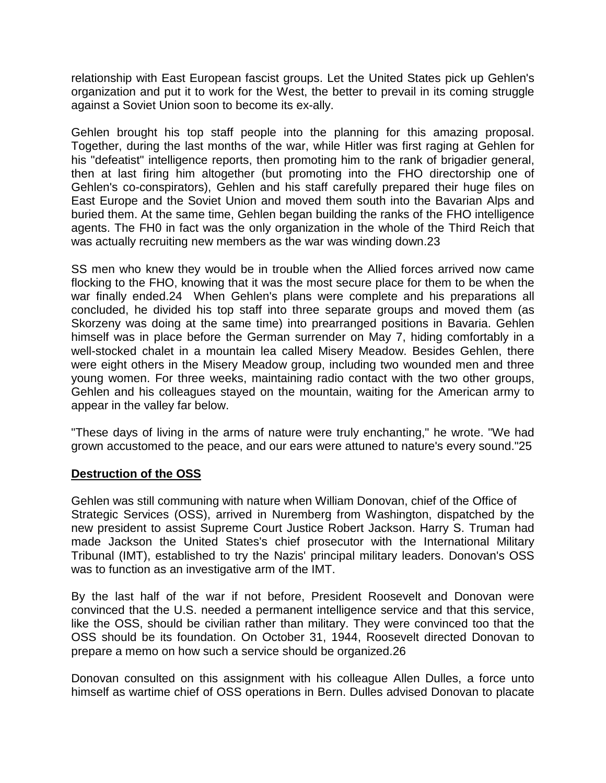relationship with East European fascist groups. Let the United States pick up Gehlen's organization and put it to work for the West, the better to prevail in its coming struggle against a Soviet Union soon to become its ex-ally.

Gehlen brought his top staff people into the planning for this amazing proposal. Together, during the last months of the war, while Hitler was first raging at Gehlen for his "defeatist" intelligence reports, then promoting him to the rank of brigadier general, then at last firing him altogether (but promoting into the FHO directorship one of Gehlen's co-conspirators), Gehlen and his staff carefully prepared their huge files on East Europe and the Soviet Union and moved them south into the Bavarian Alps and buried them. At the same time, Gehlen began building the ranks of the FHO intelligence agents. The FH0 in fact was the only organization in the whole of the Third Reich that was actually recruiting new members as the war was winding down.23

SS men who knew they would be in trouble when the Allied forces arrived now came flocking to the FHO, knowing that it was the most secure place for them to be when the war finally ended.24 When Gehlen's plans were complete and his preparations all concluded, he divided his top staff into three separate groups and moved them (as Skorzeny was doing at the same time) into prearranged positions in Bavaria. Gehlen himself was in place before the German surrender on May 7, hiding comfortably in a well-stocked chalet in a mountain lea called Misery Meadow. Besides Gehlen, there were eight others in the Misery Meadow group, including two wounded men and three young women. For three weeks, maintaining radio contact with the two other groups, Gehlen and his colleagues stayed on the mountain, waiting for the American army to appear in the valley far below.

"These days of living in the arms of nature were truly enchanting," he wrote. "We had grown accustomed to the peace, and our ears were attuned to nature's every sound."25

## **Destruction of the OSS**

Gehlen was still communing with nature when William Donovan, chief of the Office of Strategic Services (OSS), arrived in Nuremberg from Washington, dispatched by the new president to assist Supreme Court Justice Robert Jackson. Harry S. Truman had made Jackson the United States's chief prosecutor with the International Military Tribunal (IMT), established to try the Nazis' principal military leaders. Donovan's OSS was to function as an investigative arm of the IMT.

By the last half of the war if not before, President Roosevelt and Donovan were convinced that the U.S. needed a permanent intelligence service and that this service, like the OSS, should be civilian rather than military. They were convinced too that the OSS should be its foundation. On October 31, 1944, Roosevelt directed Donovan to prepare a memo on how such a service should be organized.26

Donovan consulted on this assignment with his colleague Allen Dulles, a force unto himself as wartime chief of OSS operations in Bern. Dulles advised Donovan to placate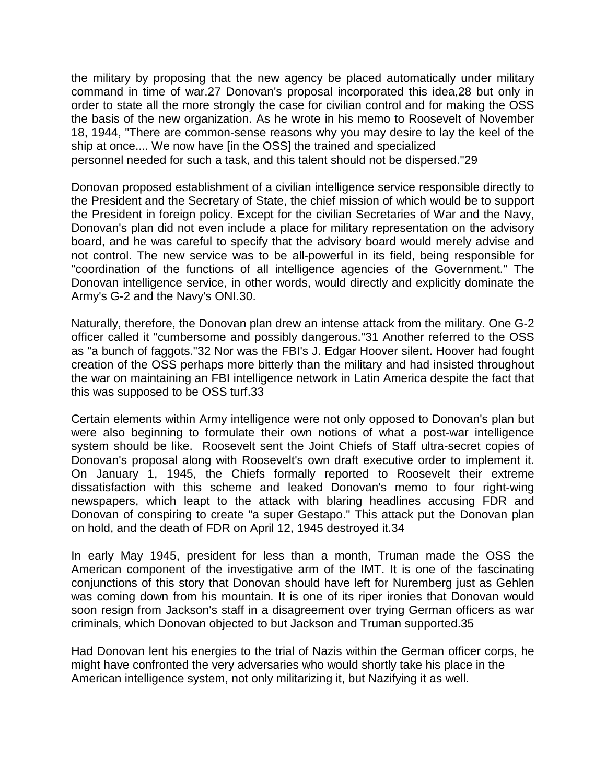the military by proposing that the new agency be placed automatically under military command in time of war.27 Donovan's proposal incorporated this idea,28 but only in order to state all the more strongly the case for civilian control and for making the OSS the basis of the new organization. As he wrote in his memo to Roosevelt of November 18, 1944, "There are common-sense reasons why you may desire to lay the keel of the ship at once.... We now have [in the OSS] the trained and specialized

personnel needed for such a task, and this talent should not be dispersed."29

Donovan proposed establishment of a civilian intelligence service responsible directly to the President and the Secretary of State, the chief mission of which would be to support the President in foreign policy. Except for the civilian Secretaries of War and the Navy, Donovan's plan did not even include a place for military representation on the advisory board, and he was careful to specify that the advisory board would merely advise and not control. The new service was to be all-powerful in its field, being responsible for "coordination of the functions of all intelligence agencies of the Government." The Donovan intelligence service, in other words, would directly and explicitly dominate the Army's G-2 and the Navy's ONI.30.

Naturally, therefore, the Donovan plan drew an intense attack from the military. One G-2 officer called it "cumbersome and possibly dangerous."31 Another referred to the OSS as "a bunch of faggots."32 Nor was the FBI's J. Edgar Hoover silent. Hoover had fought creation of the OSS perhaps more bitterly than the military and had insisted throughout the war on maintaining an FBI intelligence network in Latin America despite the fact that this was supposed to be OSS turf.33

Certain elements within Army intelligence were not only opposed to Donovan's plan but were also beginning to formulate their own notions of what a post-war intelligence system should be like. Roosevelt sent the Joint Chiefs of Staff ultra-secret copies of Donovan's proposal along with Roosevelt's own draft executive order to implement it. On January 1, 1945, the Chiefs formally reported to Roosevelt their extreme dissatisfaction with this scheme and leaked Donovan's memo to four right-wing newspapers, which leapt to the attack with blaring headlines accusing FDR and Donovan of conspiring to create "a super Gestapo." This attack put the Donovan plan on hold, and the death of FDR on April 12, 1945 destroyed it.34

In early May 1945, president for less than a month, Truman made the OSS the American component of the investigative arm of the IMT. It is one of the fascinating conjunctions of this story that Donovan should have left for Nuremberg just as Gehlen was coming down from his mountain. It is one of its riper ironies that Donovan would soon resign from Jackson's staff in a disagreement over trying German officers as war criminals, which Donovan objected to but Jackson and Truman supported.35

Had Donovan lent his energies to the trial of Nazis within the German officer corps, he might have confronted the very adversaries who would shortly take his place in the American intelligence system, not only militarizing it, but Nazifying it as well.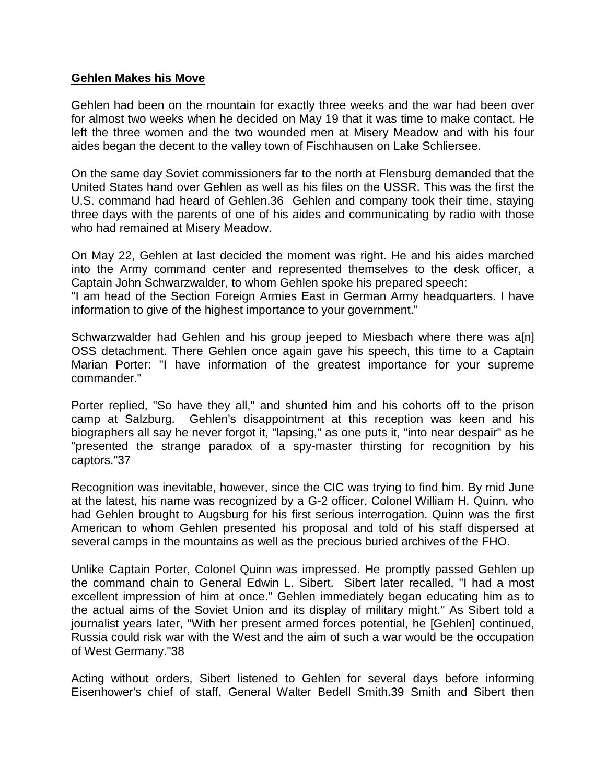#### **Gehlen Makes his Move**

Gehlen had been on the mountain for exactly three weeks and the war had been over for almost two weeks when he decided on May 19 that it was time to make contact. He left the three women and the two wounded men at Misery Meadow and with his four aides began the decent to the valley town of Fischhausen on Lake Schliersee.

On the same day Soviet commissioners far to the north at Flensburg demanded that the United States hand over Gehlen as well as his files on the USSR. This was the first the U.S. command had heard of Gehlen.36 Gehlen and company took their time, staying three days with the parents of one of his aides and communicating by radio with those who had remained at Misery Meadow.

On May 22, Gehlen at last decided the moment was right. He and his aides marched into the Army command center and represented themselves to the desk officer, a Captain John Schwarzwalder, to whom Gehlen spoke his prepared speech:

"I am head of the Section Foreign Armies East in German Army headquarters. I have information to give of the highest importance to your government."

Schwarzwalder had Gehlen and his group jeeped to Miesbach where there was a[n] OSS detachment. There Gehlen once again gave his speech, this time to a Captain Marian Porter: "I have information of the greatest importance for your supreme commander."

Porter replied, "So have they all," and shunted him and his cohorts off to the prison camp at Salzburg. Gehlen's disappointment at this reception was keen and his biographers all say he never forgot it, "lapsing," as one puts it, "into near despair" as he "presented the strange paradox of a spy-master thirsting for recognition by his captors."37

Recognition was inevitable, however, since the CIC was trying to find him. By mid June at the latest, his name was recognized by a G-2 officer, Colonel William H. Quinn, who had Gehlen brought to Augsburg for his first serious interrogation. Quinn was the first American to whom Gehlen presented his proposal and told of his staff dispersed at several camps in the mountains as well as the precious buried archives of the FHO.

Unlike Captain Porter, Colonel Quinn was impressed. He promptly passed Gehlen up the command chain to General Edwin L. Sibert. Sibert later recalled, "I had a most excellent impression of him at once." Gehlen immediately began educating him as to the actual aims of the Soviet Union and its display of military might." As Sibert told a journalist years later, "With her present armed forces potential, he [Gehlen] continued, Russia could risk war with the West and the aim of such a war would be the occupation of West Germany."38

Acting without orders, Sibert listened to Gehlen for several days before informing Eisenhower's chief of staff, General Walter Bedell Smith.39 Smith and Sibert then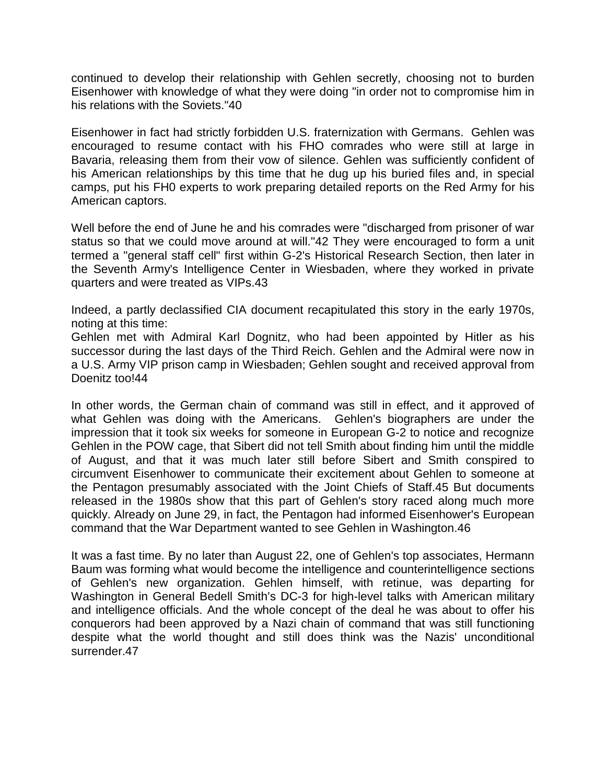continued to develop their relationship with Gehlen secretly, choosing not to burden Eisenhower with knowledge of what they were doing "in order not to compromise him in his relations with the Soviets."40

Eisenhower in fact had strictly forbidden U.S. fraternization with Germans. Gehlen was encouraged to resume contact with his FHO comrades who were still at large in Bavaria, releasing them from their vow of silence. Gehlen was sufficiently confident of his American relationships by this time that he dug up his buried files and, in special camps, put his FH0 experts to work preparing detailed reports on the Red Army for his American captors.

Well before the end of June he and his comrades were "discharged from prisoner of war status so that we could move around at will."42 They were encouraged to form a unit termed a "general staff cell" first within G-2's Historical Research Section, then later in the Seventh Army's Intelligence Center in Wiesbaden, where they worked in private quarters and were treated as VIPs.43

Indeed, a partly declassified CIA document recapitulated this story in the early 1970s, noting at this time:

Gehlen met with Admiral Karl Dognitz, who had been appointed by Hitler as his successor during the last days of the Third Reich. Gehlen and the Admiral were now in a U.S. Army VIP prison camp in Wiesbaden; Gehlen sought and received approval from Doenitz too!44

In other words, the German chain of command was still in effect, and it approved of what Gehlen was doing with the Americans. Gehlen's biographers are under the impression that it took six weeks for someone in European G-2 to notice and recognize Gehlen in the POW cage, that Sibert did not tell Smith about finding him until the middle of August, and that it was much later still before Sibert and Smith conspired to circumvent Eisenhower to communicate their excitement about Gehlen to someone at the Pentagon presumably associated with the Joint Chiefs of Staff.45 But documents released in the 1980s show that this part of Gehlen's story raced along much more quickly. Already on June 29, in fact, the Pentagon had informed Eisenhower's European command that the War Department wanted to see Gehlen in Washington.46

It was a fast time. By no later than August 22, one of Gehlen's top associates, Hermann Baum was forming what would become the intelligence and counterintelligence sections of Gehlen's new organization. Gehlen himself, with retinue, was departing for Washington in General Bedell Smith's DC-3 for high-level talks with American military and intelligence officials. And the whole concept of the deal he was about to offer his conquerors had been approved by a Nazi chain of command that was still functioning despite what the world thought and still does think was the Nazis' unconditional surrender.47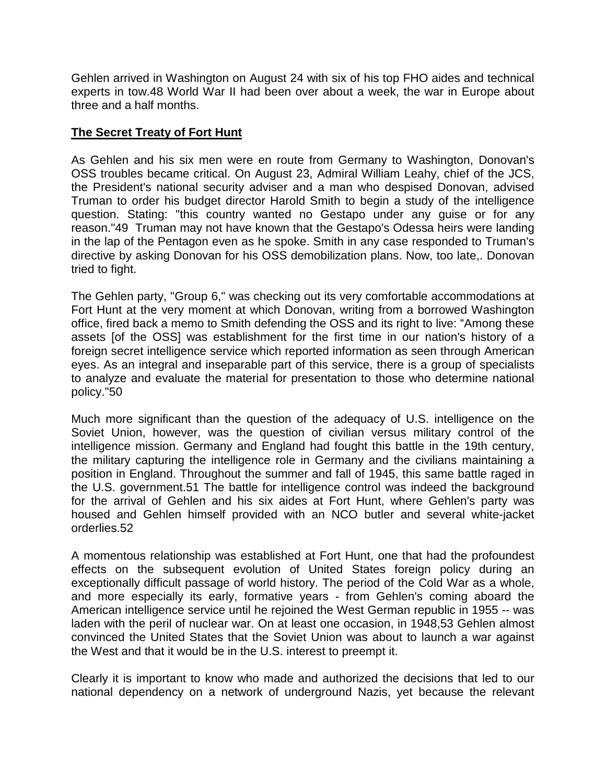Gehlen arrived in Washington on August 24 with six of his top FHO aides and technical experts in tow.48 World War II had been over about a week, the war in Europe about three and a half months.

## **The Secret Treaty of Fort Hunt**

As Gehlen and his six men were en route from Germany to Washington, Donovan's OSS troubles became critical. On August 23, Admiral William Leahy, chief of the JCS, the President's national security adviser and a man who despised Donovan, advised Truman to order his budget director Harold Smith to begin a study of the intelligence question. Stating: "this country wanted no Gestapo under any guise or for any reason."49 Truman may not have known that the Gestapo's Odessa heirs were landing in the lap of the Pentagon even as he spoke. Smith in any case responded to Truman's directive by asking Donovan for his OSS demobilization plans. Now, too late,. Donovan tried to fight.

The Gehlen party, "Group 6," was checking out its very comfortable accommodations at Fort Hunt at the very moment at which Donovan, writing from a borrowed Washington office, fired back a memo to Smith defending the OSS and its right to live: "Among these assets [of the OSS] was establishment for the first time in our nation's history of a foreign secret intelligence service which reported information as seen through American eyes. As an integral and inseparable part of this service, there is a group of specialists to analyze and evaluate the material for presentation to those who determine national policy."50

Much more significant than the question of the adequacy of U.S. intelligence on the Soviet Union, however, was the question of civilian versus military control of the intelligence mission. Germany and England had fought this battle in the 19th century, the military capturing the intelligence role in Germany and the civilians maintaining a position in England. Throughout the summer and fall of 1945, this same battle raged in the U.S. government.51 The battle for intelligence control was indeed the background for the arrival of Gehlen and his six aides at Fort Hunt, where Gehlen's party was housed and Gehlen himself provided with an NCO butler and several white-jacket orderlies.52

A momentous relationship was established at Fort Hunt, one that had the profoundest effects on the subsequent evolution of United States foreign policy during an exceptionally difficult passage of world history. The period of the Cold War as a whole, and more especially its early, formative years - from Gehlen's coming aboard the American intelligence service until he rejoined the West German republic in 1955 -- was laden with the peril of nuclear war. On at least one occasion, in 1948,53 Gehlen almost convinced the United States that the Soviet Union was about to launch a war against the West and that it would be in the U.S. interest to preempt it.

Clearly it is important to know who made and authorized the decisions that led to our national dependency on a network of underground Nazis, yet because the relevant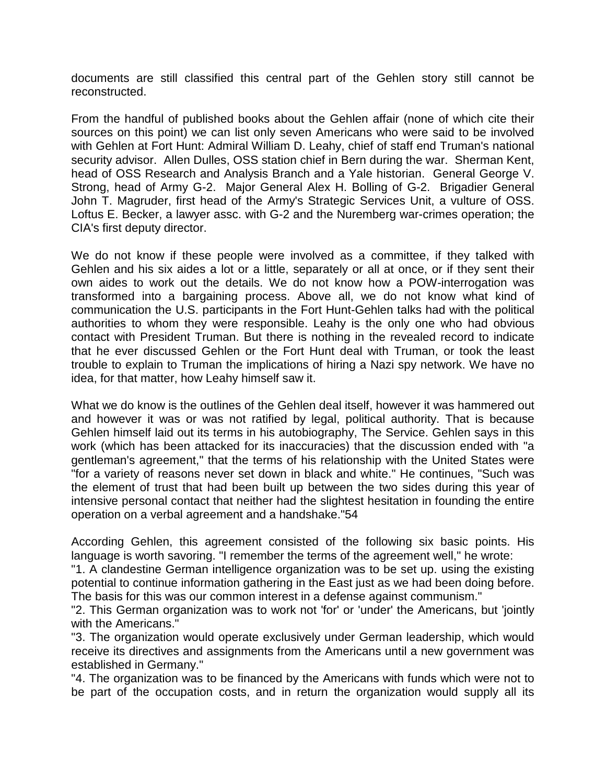documents are still classified this central part of the Gehlen story still cannot be reconstructed.

From the handful of published books about the Gehlen affair (none of which cite their sources on this point) we can list only seven Americans who were said to be involved with Gehlen at Fort Hunt: Admiral William D. Leahy, chief of staff end Truman's national security advisor. Allen Dulles, OSS station chief in Bern during the war. Sherman Kent, head of OSS Research and Analysis Branch and a Yale historian. General George V. Strong, head of Army G-2. Major General Alex H. Bolling of G-2. Brigadier General John T. Magruder, first head of the Army's Strategic Services Unit, a vulture of OSS. Loftus E. Becker, a lawyer assc. with G-2 and the Nuremberg war-crimes operation; the CIA's first deputy director.

We do not know if these people were involved as a committee, if they talked with Gehlen and his six aides a lot or a little, separately or all at once, or if they sent their own aides to work out the details. We do not know how a POW-interrogation was transformed into a bargaining process. Above all, we do not know what kind of communication the U.S. participants in the Fort Hunt-Gehlen talks had with the political authorities to whom they were responsible. Leahy is the only one who had obvious contact with President Truman. But there is nothing in the revealed record to indicate that he ever discussed Gehlen or the Fort Hunt deal with Truman, or took the least trouble to explain to Truman the implications of hiring a Nazi spy network. We have no idea, for that matter, how Leahy himself saw it.

What we do know is the outlines of the Gehlen deal itself, however it was hammered out and however it was or was not ratified by legal, political authority. That is because Gehlen himself laid out its terms in his autobiography, The Service. Gehlen says in this work (which has been attacked for its inaccuracies) that the discussion ended with "a gentleman's agreement," that the terms of his relationship with the United States were "for a variety of reasons never set down in black and white." He continues, "Such was the element of trust that had been built up between the two sides during this year of intensive personal contact that neither had the slightest hesitation in founding the entire operation on a verbal agreement and a handshake."54

According Gehlen, this agreement consisted of the following six basic points. His language is worth savoring. "I remember the terms of the agreement well," he wrote:

"1. A clandestine German intelligence organization was to be set up. using the existing potential to continue information gathering in the East just as we had been doing before. The basis for this was our common interest in a defense against communism."

"2. This German organization was to work not 'for' or 'under' the Americans, but 'jointly with the Americans."

"3. The organization would operate exclusively under German leadership, which would receive its directives and assignments from the Americans until a new government was established in Germany."

"4. The organization was to be financed by the Americans with funds which were not to be part of the occupation costs, and in return the organization would supply all its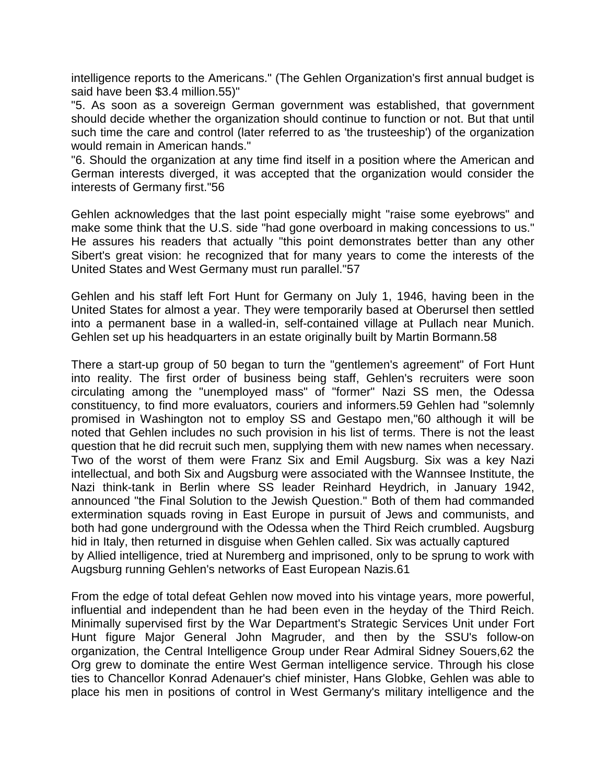intelligence reports to the Americans." (The Gehlen Organization's first annual budget is said have been \$3.4 million.55)"

"5. As soon as a sovereign German government was established, that government should decide whether the organization should continue to function or not. But that until such time the care and control (later referred to as 'the trusteeship') of the organization would remain in American hands."

"6. Should the organization at any time find itself in a position where the American and German interests diverged, it was accepted that the organization would consider the interests of Germany first."56

Gehlen acknowledges that the last point especially might "raise some eyebrows" and make some think that the U.S. side "had gone overboard in making concessions to us." He assures his readers that actually "this point demonstrates better than any other Sibert's great vision: he recognized that for many years to come the interests of the United States and West Germany must run parallel."57

Gehlen and his staff left Fort Hunt for Germany on July 1, 1946, having been in the United States for almost a year. They were temporarily based at Oberursel then settled into a permanent base in a walled-in, self-contained village at Pullach near Munich. Gehlen set up his headquarters in an estate originally built by Martin Bormann.58

There a start-up group of 50 began to turn the "gentlemen's agreement" of Fort Hunt into reality. The first order of business being staff, Gehlen's recruiters were soon circulating among the "unemployed mass" of "former" Nazi SS men, the Odessa constituency, to find more evaluators, couriers and informers.59 Gehlen had "solemnly promised in Washington not to employ SS and Gestapo men,"60 although it will be noted that Gehlen includes no such provision in his list of terms. There is not the least question that he did recruit such men, supplying them with new names when necessary. Two of the worst of them were Franz Six and Emil Augsburg. Six was a key Nazi intellectual, and both Six and Augsburg were associated with the Wannsee Institute, the Nazi think-tank in Berlin where SS leader Reinhard Heydrich, in January 1942, announced "the Final Solution to the Jewish Question." Both of them had commanded extermination squads roving in East Europe in pursuit of Jews and communists, and both had gone underground with the Odessa when the Third Reich crumbled. Augsburg hid in Italy, then returned in disguise when Gehlen called. Six was actually captured by Allied intelligence, tried at Nuremberg and imprisoned, only to be sprung to work with Augsburg running Gehlen's networks of East European Nazis.61

From the edge of total defeat Gehlen now moved into his vintage years, more powerful, influential and independent than he had been even in the heyday of the Third Reich. Minimally supervised first by the War Department's Strategic Services Unit under Fort Hunt figure Major General John Magruder, and then by the SSU's follow-on organization, the Central Intelligence Group under Rear Admiral Sidney Souers,62 the Org grew to dominate the entire West German intelligence service. Through his close ties to Chancellor Konrad Adenauer's chief minister, Hans Globke, Gehlen was able to place his men in positions of control in West Germany's military intelligence and the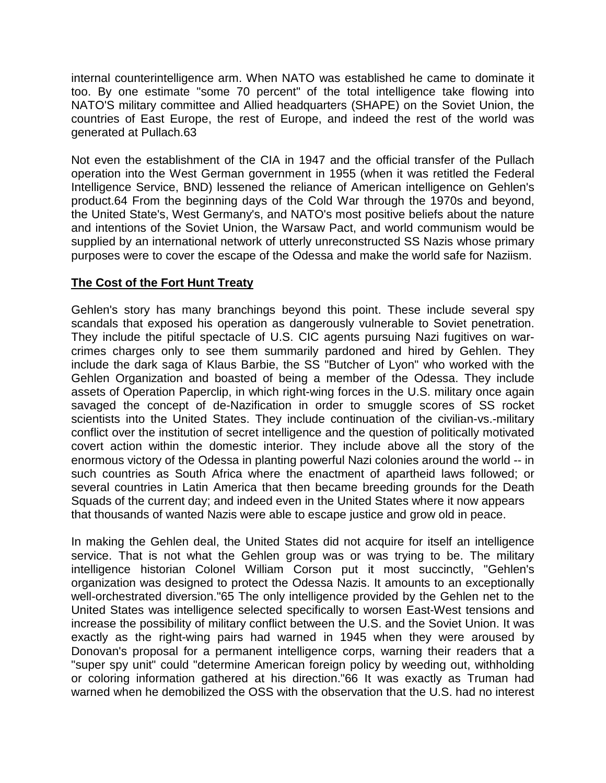internal counterintelligence arm. When NATO was established he came to dominate it too. By one estimate "some 70 percent" of the total intelligence take flowing into NATO'S military committee and Allied headquarters (SHAPE) on the Soviet Union, the countries of East Europe, the rest of Europe, and indeed the rest of the world was generated at Pullach.63

Not even the establishment of the CIA in 1947 and the official transfer of the Pullach operation into the West German government in 1955 (when it was retitled the Federal Intelligence Service, BND) lessened the reliance of American intelligence on Gehlen's product.64 From the beginning days of the Cold War through the 1970s and beyond, the United State's, West Germany's, and NATO's most positive beliefs about the nature and intentions of the Soviet Union, the Warsaw Pact, and world communism would be supplied by an international network of utterly unreconstructed SS Nazis whose primary purposes were to cover the escape of the Odessa and make the world safe for Naziism.

## **The Cost of the Fort Hunt Treaty**

Gehlen's story has many branchings beyond this point. These include several spy scandals that exposed his operation as dangerously vulnerable to Soviet penetration. They include the pitiful spectacle of U.S. CIC agents pursuing Nazi fugitives on warcrimes charges only to see them summarily pardoned and hired by Gehlen. They include the dark saga of Klaus Barbie, the SS "Butcher of Lyon" who worked with the Gehlen Organization and boasted of being a member of the Odessa. They include assets of Operation Paperclip, in which right-wing forces in the U.S. military once again savaged the concept of de-Nazification in order to smuggle scores of SS rocket scientists into the United States. They include continuation of the civilian-vs.-military conflict over the institution of secret intelligence and the question of politically motivated covert action within the domestic interior. They include above all the story of the enormous victory of the Odessa in planting powerful Nazi colonies around the world -- in such countries as South Africa where the enactment of apartheid laws followed; or several countries in Latin America that then became breeding grounds for the Death Squads of the current day; and indeed even in the United States where it now appears that thousands of wanted Nazis were able to escape justice and grow old in peace.

In making the Gehlen deal, the United States did not acquire for itself an intelligence service. That is not what the Gehlen group was or was trying to be. The military intelligence historian Colonel William Corson put it most succinctly, "Gehlen's organization was designed to protect the Odessa Nazis. It amounts to an exceptionally well-orchestrated diversion."65 The only intelligence provided by the Gehlen net to the United States was intelligence selected specifically to worsen East-West tensions and increase the possibility of military conflict between the U.S. and the Soviet Union. It was exactly as the right-wing pairs had warned in 1945 when they were aroused by Donovan's proposal for a permanent intelligence corps, warning their readers that a "super spy unit" could "determine American foreign policy by weeding out, withholding or coloring information gathered at his direction."66 It was exactly as Truman had warned when he demobilized the OSS with the observation that the U.S. had no interest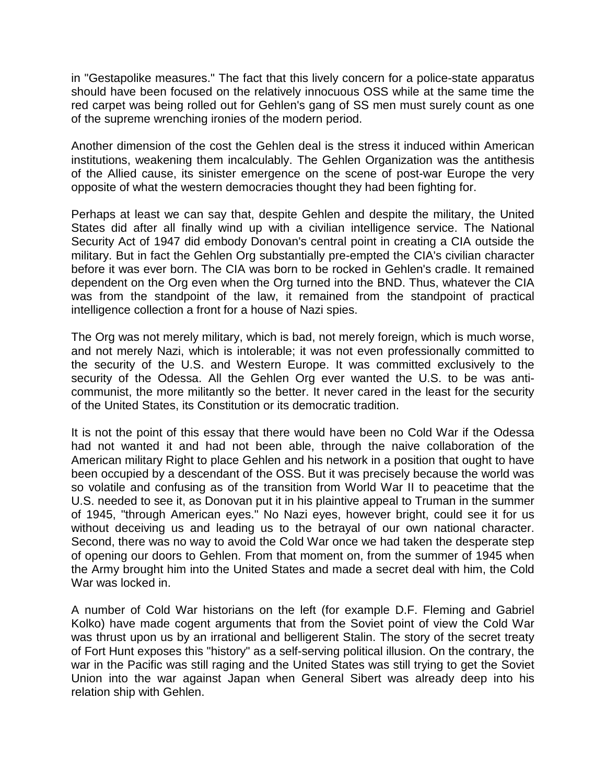in "Gestapolike measures." The fact that this lively concern for a police-state apparatus should have been focused on the relatively innocuous OSS while at the same time the red carpet was being rolled out for Gehlen's gang of SS men must surely count as one of the supreme wrenching ironies of the modern period.

Another dimension of the cost the Gehlen deal is the stress it induced within American institutions, weakening them incalculably. The Gehlen Organization was the antithesis of the Allied cause, its sinister emergence on the scene of post-war Europe the very opposite of what the western democracies thought they had been fighting for.

Perhaps at least we can say that, despite Gehlen and despite the military, the United States did after all finally wind up with a civilian intelligence service. The National Security Act of 1947 did embody Donovan's central point in creating a CIA outside the military. But in fact the Gehlen Org substantially pre-empted the CIA's civilian character before it was ever born. The CIA was born to be rocked in Gehlen's cradle. It remained dependent on the Org even when the Org turned into the BND. Thus, whatever the CIA was from the standpoint of the law, it remained from the standpoint of practical intelligence collection a front for a house of Nazi spies.

The Org was not merely military, which is bad, not merely foreign, which is much worse, and not merely Nazi, which is intolerable; it was not even professionally committed to the security of the U.S. and Western Europe. It was committed exclusively to the security of the Odessa. All the Gehlen Org ever wanted the U.S. to be was anticommunist, the more militantly so the better. It never cared in the least for the security of the United States, its Constitution or its democratic tradition.

It is not the point of this essay that there would have been no Cold War if the Odessa had not wanted it and had not been able, through the naive collaboration of the American military Right to place Gehlen and his network in a position that ought to have been occupied by a descendant of the OSS. But it was precisely because the world was so volatile and confusing as of the transition from World War II to peacetime that the U.S. needed to see it, as Donovan put it in his plaintive appeal to Truman in the summer of 1945, "through American eyes." No Nazi eyes, however bright, could see it for us without deceiving us and leading us to the betrayal of our own national character. Second, there was no way to avoid the Cold War once we had taken the desperate step of opening our doors to Gehlen. From that moment on, from the summer of 1945 when the Army brought him into the United States and made a secret deal with him, the Cold War was locked in.

A number of Cold War historians on the left (for example D.F. Fleming and Gabriel Kolko) have made cogent arguments that from the Soviet point of view the Cold War was thrust upon us by an irrational and belligerent Stalin. The story of the secret treaty of Fort Hunt exposes this "history" as a self-serving political illusion. On the contrary, the war in the Pacific was still raging and the United States was still trying to get the Soviet Union into the war against Japan when General Sibert was already deep into his relation ship with Gehlen.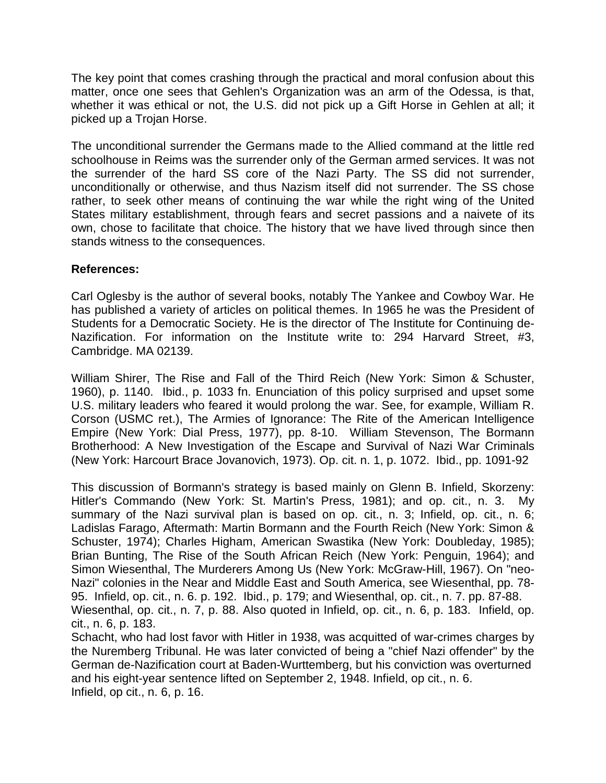The key point that comes crashing through the practical and moral confusion about this matter, once one sees that Gehlen's Organization was an arm of the Odessa, is that, whether it was ethical or not, the U.S. did not pick up a Gift Horse in Gehlen at all; it picked up a Trojan Horse.

The unconditional surrender the Germans made to the Allied command at the little red schoolhouse in Reims was the surrender only of the German armed services. It was not the surrender of the hard SS core of the Nazi Party. The SS did not surrender, unconditionally or otherwise, and thus Nazism itself did not surrender. The SS chose rather, to seek other means of continuing the war while the right wing of the United States military establishment, through fears and secret passions and a naivete of its own, chose to facilitate that choice. The history that we have lived through since then stands witness to the consequences.

## **References:**

Carl Oglesby is the author of several books, notably The Yankee and Cowboy War. He has published a variety of articles on political themes. In 1965 he was the President of Students for a Democratic Society. He is the director of The Institute for Continuing de-Nazification. For information on the Institute write to: 294 Harvard Street, #3, Cambridge. MA 02139.

William Shirer, The Rise and Fall of the Third Reich (New York: Simon & Schuster, 1960), p. 1140. Ibid., p. 1033 fn. Enunciation of this policy surprised and upset some U.S. military leaders who feared it would prolong the war. See, for example, William R. Corson (USMC ret.), The Armies of Ignorance: The Rite of the American Intelligence Empire (New York: Dial Press, 1977), pp. 8-10. William Stevenson, The Bormann Brotherhood: A New Investigation of the Escape and Survival of Nazi War Criminals (New York: Harcourt Brace Jovanovich, 1973). Op. cit. n. 1, p. 1072. Ibid., pp. 1091-92

This discussion of Bormann's strategy is based mainly on Glenn B. Infield, Skorzeny: Hitler's Commando (New York: St. Martin's Press, 1981); and op. cit., n. 3. My summary of the Nazi survival plan is based on op. cit., n. 3; Infield, op. cit., n. 6; Ladislas Farago, Aftermath: Martin Bormann and the Fourth Reich (New York: Simon & Schuster, 1974); Charles Higham, American Swastika (New York: Doubleday, 1985); Brian Bunting, The Rise of the South African Reich (New York: Penguin, 1964); and Simon Wiesenthal, The Murderers Among Us (New York: McGraw-Hill, 1967). On "neo-Nazi" colonies in the Near and Middle East and South America, see Wiesenthal, pp. 78- 95. Infield, op. cit., n. 6. p. 192. Ibid., p. 179; and Wiesenthal, op. cit., n. 7. pp. 87-88. Wiesenthal, op. cit., n. 7, p. 88. Also quoted in Infield, op. cit., n. 6, p. 183. Infield, op. cit., n. 6, p. 183.

Schacht, who had lost favor with Hitler in 1938, was acquitted of war-crimes charges by the Nuremberg Tribunal. He was later convicted of being a "chief Nazi offender" by the German de-Nazification court at Baden-Wurttemberg, but his conviction was overturned and his eight-year sentence lifted on September 2, 1948. Infield, op cit., n. 6. Infield, op cit., n. 6, p. 16.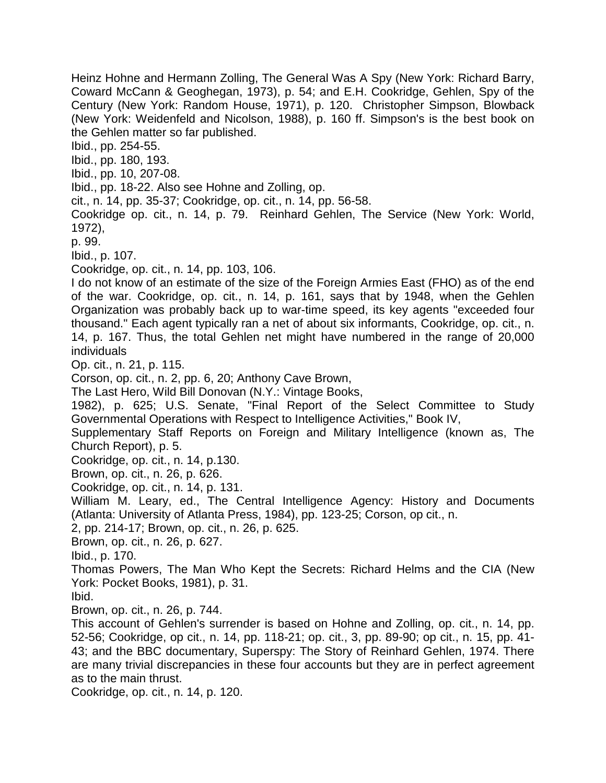Heinz Hohne and Hermann Zolling, The General Was A Spy (New York: Richard Barry, Coward McCann & Geoghegan, 1973), p. 54; and E.H. Cookridge, Gehlen, Spy of the Century (New York: Random House, 1971), p. 120. Christopher Simpson, Blowback (New York: Weidenfeld and Nicolson, 1988), p. 160 ff. Simpson's is the best book on the Gehlen matter so far published. Ibid., pp. 254-55. Ibid., pp. 180, 193. Ibid., pp. 10, 207-08. Ibid., pp. 18-22. Also see Hohne and Zolling, op. cit., n. 14, pp. 35-37; Cookridge, op. cit., n. 14, pp. 56-58. Cookridge op. cit., n. 14, p. 79. Reinhard Gehlen, The Service (New York: World, 1972), p. 99. Ibid., p. 107. Cookridge, op. cit., n. 14, pp. 103, 106. I do not know of an estimate of the size of the Foreign Armies East (FHO) as of the end of the war. Cookridge, op. cit., n. 14, p. 161, says that by 1948, when the Gehlen Organization was probably back up to war-time speed, its key agents "exceeded four thousand." Each agent typically ran a net of about six informants, Cookridge, op. cit., n. 14, p. 167. Thus, the total Gehlen net might have numbered in the range of 20,000 individuals Op. cit., n. 21, p. 115. Corson, op. cit., n. 2, pp. 6, 20; Anthony Cave Brown, The Last Hero, Wild Bill Donovan (N.Y.: Vintage Books, 1982), p. 625; U.S. Senate, "Final Report of the Select Committee to Study Governmental Operations with Respect to Intelligence Activities," Book IV, Supplementary Staff Reports on Foreign and Military Intelligence (known as, The Church Report), p. 5. Cookridge, op. cit., n. 14, p.130. Brown, op. cit., n. 26, p. 626. Cookridge, op. cit., n. 14, p. 131. William M. Leary, ed., The Central Intelligence Agency: History and Documents (Atlanta: University of Atlanta Press, 1984), pp. 123-25; Corson, op cit., n. 2, pp. 214-17; Brown, op. cit., n. 26, p. 625. Brown, op. cit., n. 26, p. 627. Ibid., p. 170. Thomas Powers, The Man Who Kept the Secrets: Richard Helms and the CIA (New York: Pocket Books, 1981), p. 31. Ibid. Brown, op. cit., n. 26, p. 744. This account of Gehlen's surrender is based on Hohne and Zolling, op. cit., n. 14, pp. 52-56; Cookridge, op cit., n. 14, pp. 118-21; op. cit., 3, pp. 89-90; op cit., n. 15, pp. 41- 43; and the BBC documentary, Superspy: The Story of Reinhard Gehlen, 1974. There are many trivial discrepancies in these four accounts but they are in perfect agreement as to the main thrust. Cookridge, op. cit., n. 14, p. 120.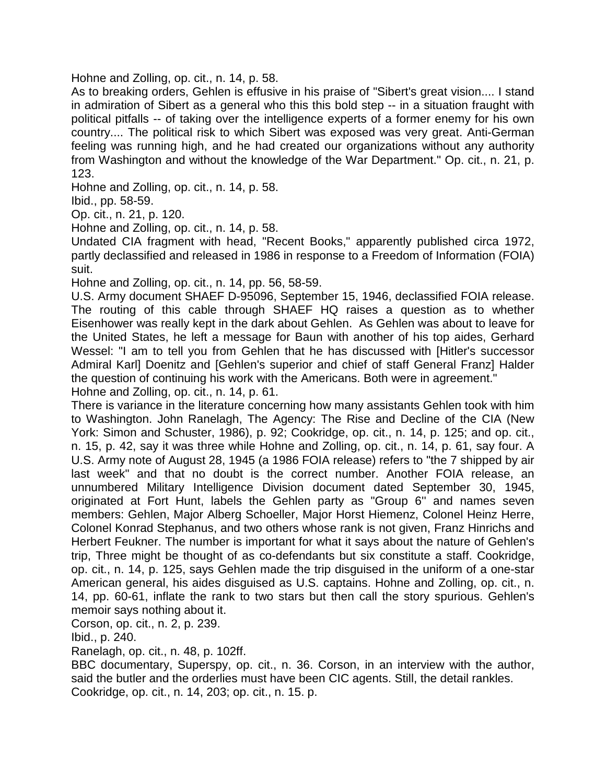Hohne and Zolling, op. cit., n. 14, p. 58.

As to breaking orders, Gehlen is effusive in his praise of "Sibert's great vision.... I stand in admiration of Sibert as a general who this this bold step -- in a situation fraught with political pitfalls -- of taking over the intelligence experts of a former enemy for his own country.... The political risk to which Sibert was exposed was very great. Anti-German feeling was running high, and he had created our organizations without any authority from Washington and without the knowledge of the War Department." Op. cit., n. 21, p. 123.

Hohne and Zolling, op. cit., n. 14, p. 58.

Ibid., pp. 58-59.

Op. cit., n. 21, p. 120.

Hohne and Zolling, op. cit., n. 14, p. 58.

Undated CIA fragment with head, "Recent Books," apparently published circa 1972, partly declassified and released in 1986 in response to a Freedom of Information (FOIA) suit.

Hohne and Zolling, op. cit., n. 14, pp. 56, 58-59.

U.S. Army document SHAEF D-95096, September 15, 1946, declassified FOIA release. The routing of this cable through SHAEF HQ raises a question as to whether Eisenhower was really kept in the dark about Gehlen. As Gehlen was about to leave for the United States, he left a message for Baun with another of his top aides, Gerhard Wessel: "I am to tell you from Gehlen that he has discussed with [Hitler's successor Admiral Karl] Doenitz and [Gehlen's superior and chief of staff General Franz] Halder the question of continuing his work with the Americans. Both were in agreement." Hohne and Zolling, op. cit., n. 14, p. 61.

There is variance in the literature concerning how many assistants Gehlen took with him to Washington. John Ranelagh, The Agency: The Rise and Decline of the CIA (New York: Simon and Schuster, 1986), p. 92; Cookridge, op. cit., n. 14, p. 125; and op. cit., n. 15, p. 42, say it was three while Hohne and Zolling, op. cit., n. 14, p. 61, say four. A U.S. Army note of August 28, 1945 (a 1986 FOIA release) refers to "the 7 shipped by air last week" and that no doubt is the correct number. Another FOIA release, an unnumbered Military Intelligence Division document dated September 30, 1945, originated at Fort Hunt, labels the Gehlen party as "Group 6'' and names seven members: Gehlen, Major Alberg Schoeller, Major Horst Hiemenz, Colonel Heinz Herre, Colonel Konrad Stephanus, and two others whose rank is not given, Franz Hinrichs and Herbert Feukner. The number is important for what it says about the nature of Gehlen's trip, Three might be thought of as co-defendants but six constitute a staff. Cookridge, op. cit., n. 14, p. 125, says Gehlen made the trip disguised in the uniform of a one-star American general, his aides disguised as U.S. captains. Hohne and Zolling, op. cit., n. 14, pp. 60-61, inflate the rank to two stars but then call the story spurious. Gehlen's memoir says nothing about it.

Corson, op. cit., n. 2, p. 239.

Ibid., p. 240.

Ranelagh, op. cit., n. 48, p. 102ff.

BBC documentary, Superspy, op. cit., n. 36. Corson, in an interview with the author, said the butler and the orderlies must have been CIC agents. Still, the detail rankles. Cookridge, op. cit., n. 14, 203; op. cit., n. 15. p.